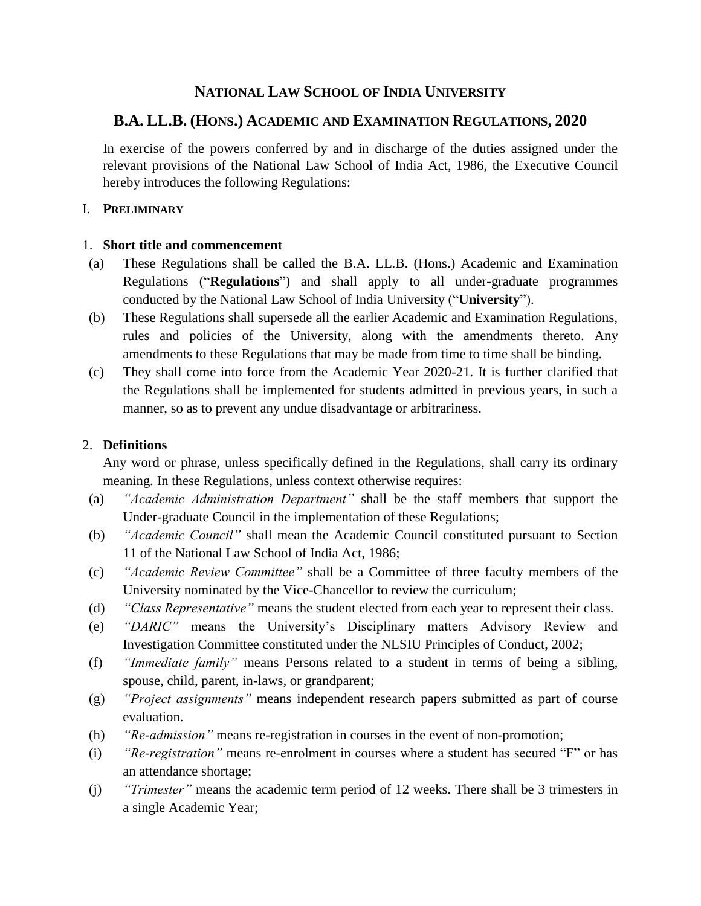# **NATIONAL LAW SCHOOL OF INDIA UNIVERSITY**

## **B.A. LL.B. (HONS.) ACADEMIC AND EXAMINATION REGULATIONS, 2020**

In exercise of the powers conferred by and in discharge of the duties assigned under the relevant provisions of the National Law School of India Act, 1986, the Executive Council hereby introduces the following Regulations:

#### I. **PRELIMINARY**

#### 1. **Short title and commencement**

- (a) These Regulations shall be called the B.A. LL.B. (Hons.) Academic and Examination Regulations ("**Regulations**") and shall apply to all under-graduate programmes conducted by the National Law School of India University ("**University**").
- (b) These Regulations shall supersede all the earlier Academic and Examination Regulations, rules and policies of the University, along with the amendments thereto. Any amendments to these Regulations that may be made from time to time shall be binding.
- (c) They shall come into force from the Academic Year 2020-21. It is further clarified that the Regulations shall be implemented for students admitted in previous years, in such a manner, so as to prevent any undue disadvantage or arbitrariness.

#### 2. **Definitions**

Any word or phrase, unless specifically defined in the Regulations, shall carry its ordinary meaning. In these Regulations, unless context otherwise requires:

- (a) *"Academic Administration Department"* shall be the staff members that support the Under-graduate Council in the implementation of these Regulations;
- (b) *"Academic Council"* shall mean the Academic Council constituted pursuant to Section 11 of the National Law School of India Act, 1986;
- (c) *"Academic Review Committee"* shall be a Committee of three faculty members of the University nominated by the Vice-Chancellor to review the curriculum;
- (d) *"Class Representative"* means the student elected from each year to represent their class.
- (e) *"DARIC"* means the University's Disciplinary matters Advisory Review and Investigation Committee constituted under the NLSIU Principles of Conduct, 2002;
- (f) *"Immediate family"* means Persons related to a student in terms of being a sibling, spouse, child, parent, in-laws, or grandparent;
- (g) *"Project assignments"* means independent research papers submitted as part of course evaluation.
- (h) *"Re-admission"* means re-registration in courses in the event of non-promotion;
- (i) *"Re-registration"* means re-enrolment in courses where a student has secured "F" or has an attendance shortage;
- (j) *"Trimester"* means the academic term period of 12 weeks. There shall be 3 trimesters in a single Academic Year;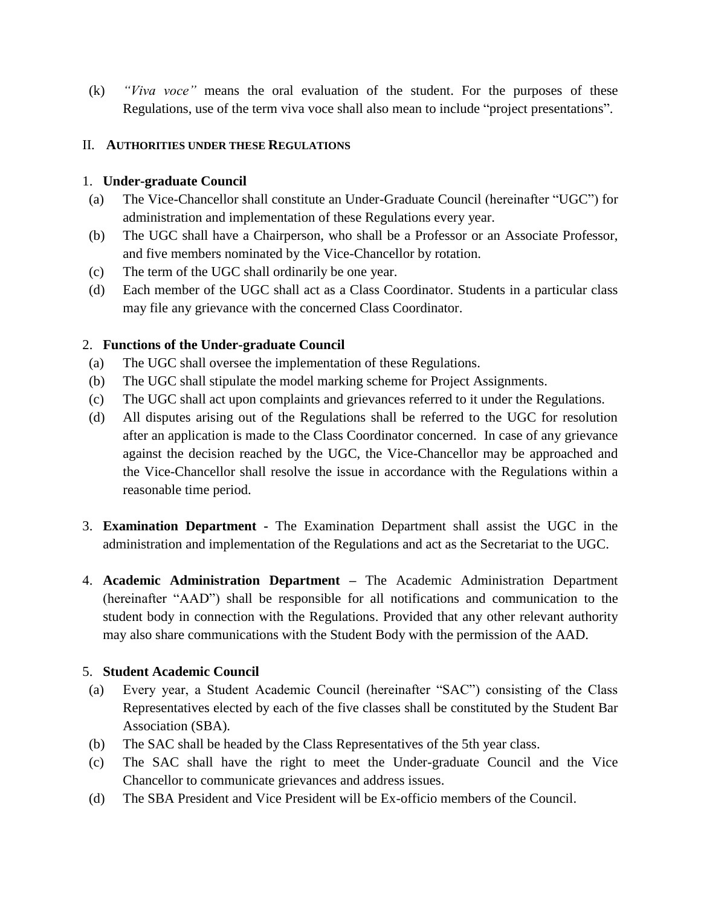(k) *"Viva voce"* means the oral evaluation of the student. For the purposes of these Regulations, use of the term viva voce shall also mean to include "project presentations".

## II. **AUTHORITIES UNDER THESE REGULATIONS**

## 1. **Under-graduate Council**

- (a) The Vice-Chancellor shall constitute an Under-Graduate Council (hereinafter "UGC") for administration and implementation of these Regulations every year.
- (b) The UGC shall have a Chairperson, who shall be a Professor or an Associate Professor, and five members nominated by the Vice-Chancellor by rotation.
- (c) The term of the UGC shall ordinarily be one year.
- (d) Each member of the UGC shall act as a Class Coordinator. Students in a particular class may file any grievance with the concerned Class Coordinator.

## 2. **Functions of the Under-graduate Council**

- (a) The UGC shall oversee the implementation of these Regulations.
- (b) The UGC shall stipulate the model marking scheme for Project Assignments.
- (c) The UGC shall act upon complaints and grievances referred to it under the Regulations.
- (d) All disputes arising out of the Regulations shall be referred to the UGC for resolution after an application is made to the Class Coordinator concerned. In case of any grievance against the decision reached by the UGC, the Vice-Chancellor may be approached and the Vice-Chancellor shall resolve the issue in accordance with the Regulations within a reasonable time period.
- 3. **Examination Department -** The Examination Department shall assist the UGC in the administration and implementation of the Regulations and act as the Secretariat to the UGC.
- 4. **Academic Administration Department –** The Academic Administration Department (hereinafter "AAD") shall be responsible for all notifications and communication to the student body in connection with the Regulations. Provided that any other relevant authority may also share communications with the Student Body with the permission of the AAD.

## 5. **Student Academic Council**

- (a) Every year, a Student Academic Council (hereinafter "SAC") consisting of the Class Representatives elected by each of the five classes shall be constituted by the Student Bar Association (SBA).
- (b) The SAC shall be headed by the Class Representatives of the 5th year class.
- (c) The SAC shall have the right to meet the Under-graduate Council and the Vice Chancellor to communicate grievances and address issues.
- (d) The SBA President and Vice President will be Ex-officio members of the Council.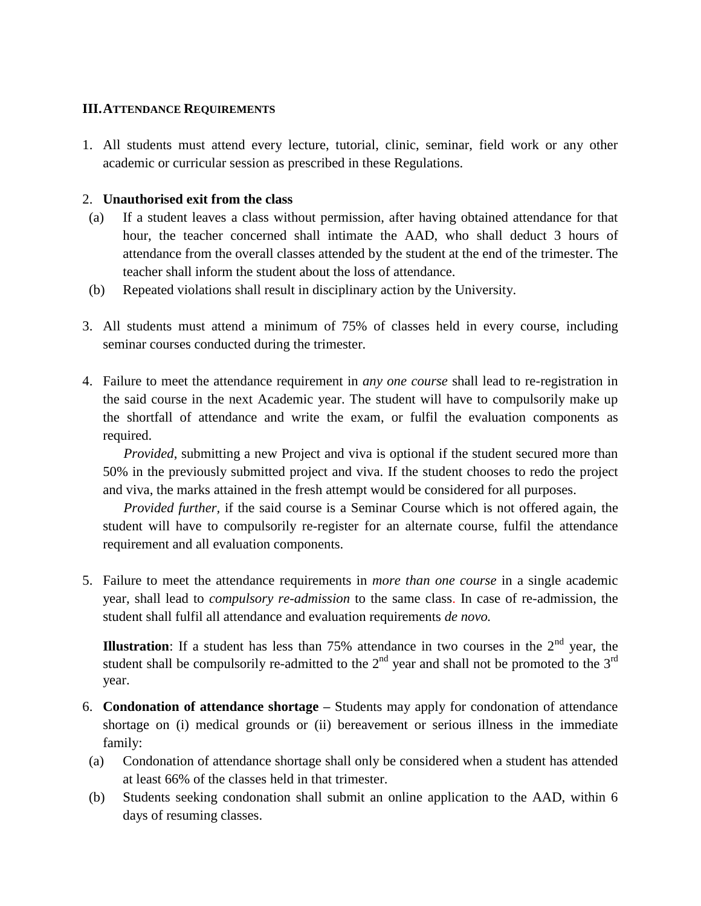#### **III.ATTENDANCE REQUIREMENTS**

1. All students must attend every lecture, tutorial, clinic, seminar, field work or any other academic or curricular session as prescribed in these Regulations.

#### 2. **Unauthorised exit from the class**

- (a) If a student leaves a class without permission, after having obtained attendance for that hour, the teacher concerned shall intimate the AAD, who shall deduct 3 hours of attendance from the overall classes attended by the student at the end of the trimester. The teacher shall inform the student about the loss of attendance.
- (b) Repeated violations shall result in disciplinary action by the University.
- 3. All students must attend a minimum of 75% of classes held in every course, including seminar courses conducted during the trimester.
- 4. Failure to meet the attendance requirement in *any one course* shall lead to re-registration in the said course in the next Academic year. The student will have to compulsorily make up the shortfall of attendance and write the exam, or fulfil the evaluation components as required.

*Provided*, submitting a new Project and viva is optional if the student secured more than 50% in the previously submitted project and viva. If the student chooses to redo the project and viva, the marks attained in the fresh attempt would be considered for all purposes.

*Provided further,* if the said course is a Seminar Course which is not offered again, the student will have to compulsorily re-register for an alternate course, fulfil the attendance requirement and all evaluation components.

5. Failure to meet the attendance requirements in *more than one course* in a single academic year, shall lead to *compulsory re-admission* to the same class. In case of re-admission, the student shall fulfil all attendance and evaluation requirements *de novo.* 

**Illustration**: If a student has less than  $75%$  attendance in two courses in the  $2<sup>nd</sup>$  year, the student shall be compulsorily re-admitted to the  $2<sup>nd</sup>$  year and shall not be promoted to the  $3<sup>rd</sup>$ year.

- 6. **Condonation of attendance shortage –** Students may apply for condonation of attendance shortage on (i) medical grounds or (ii) bereavement or serious illness in the immediate family:
- (a) Condonation of attendance shortage shall only be considered when a student has attended at least 66% of the classes held in that trimester.
- (b) Students seeking condonation shall submit an online application to the AAD, within 6 days of resuming classes.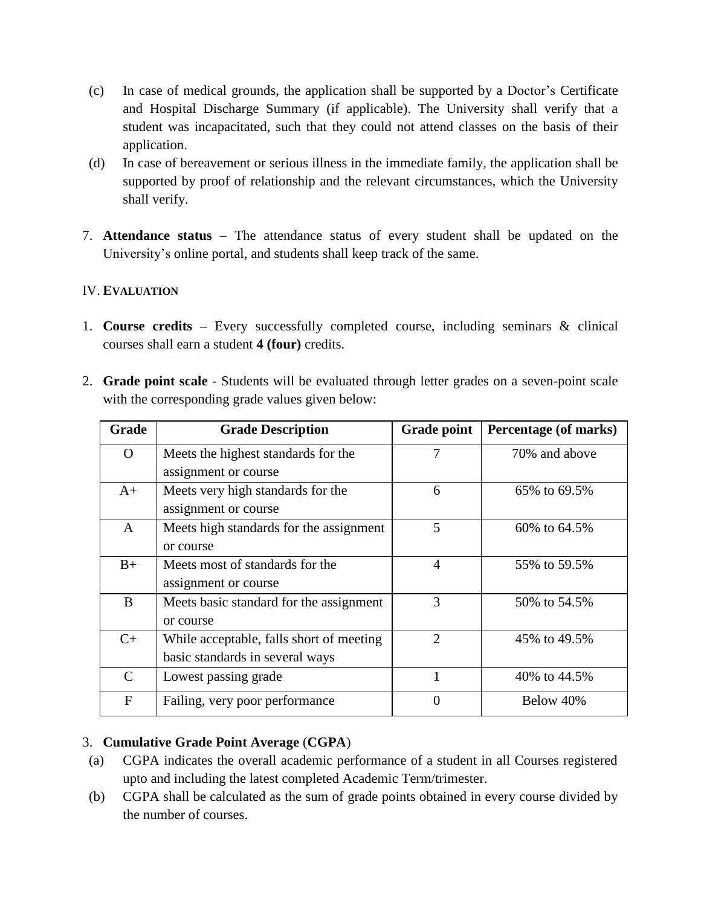- (c) In case of medical grounds, the application shall be supported by a Doctor's Certificate and Hospital Discharge Summary (if applicable). The University shall verify that a student was incapacitated, such that they could not attend classes on the basis of their application.
- (d) In case of bereavement or serious illness in the immediate family, the application shall be supported by proof of relationship and the relevant circumstances, which the University shall verify.
- 7. **Attendance status** The attendance status of every student shall be updated on the University's online portal, and students shall keep track of the same.

## IV. **EVALUATION**

- 1. **Course credits –** Every successfully completed course, including seminars & clinical courses shall earn a student **4 (four)** credits.
- 2. **Grade point scale**  Students will be evaluated through letter grades on a seven-point scale with the corresponding grade values given below:

| Grade         | <b>Grade Description</b>                 | <b>Grade point</b> | Percentage (of marks) |
|---------------|------------------------------------------|--------------------|-----------------------|
| $\Omega$      | Meets the highest standards for the      | 7                  | 70% and above         |
|               | assignment or course                     |                    |                       |
| $A+$          | Meets very high standards for the        | 6                  | 65% to 69.5%          |
|               | assignment or course                     |                    |                       |
| A             | Meets high standards for the assignment  | 5                  | 60\% to 64.5\%        |
|               | or course                                |                    |                       |
| $B+$          | Meets most of standards for the          | $\overline{4}$     | 55\% to 59.5\%        |
|               | assignment or course                     |                    |                       |
| B             | Meets basic standard for the assignment  | 3                  | 50\% to 54.5\%        |
|               | or course                                |                    |                       |
| $C+$          | While acceptable, falls short of meeting | $\overline{2}$     | 45\% to 49.5\%        |
|               | basic standards in several ways          |                    |                       |
| $\mathcal{C}$ | Lowest passing grade                     |                    | 40\% to 44.5\%        |
| $\mathbf{F}$  | Failing, very poor performance           | $\theta$           | Below 40%             |

# 3. **Cumulative Grade Point Average** (**CGPA**)

- (a) CGPA indicates the overall academic performance of a student in all Courses registered upto and including the latest completed Academic Term/trimester.
- (b) CGPA shall be calculated as the sum of grade points obtained in every course divided by the number of courses.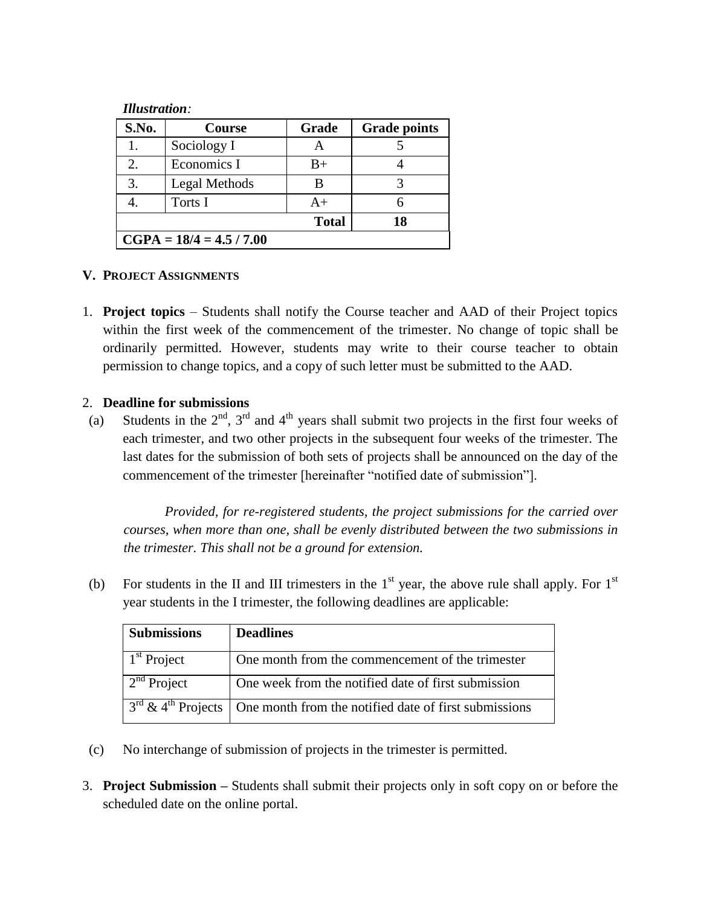#### *Illustration:*

| <b>S.No.</b>               | Course        | Grade        | <b>Grade points</b> |  |
|----------------------------|---------------|--------------|---------------------|--|
|                            | Sociology I   |              |                     |  |
| 2.                         | Economics I   | $B+$         |                     |  |
| 3.                         | Legal Methods |              |                     |  |
|                            | Torts I       | $A+$         |                     |  |
|                            |               | <b>Total</b> | 18                  |  |
| $CGPA = 18/4 = 4.5 / 7.00$ |               |              |                     |  |

#### **V. PROJECT ASSIGNMENTS**

1. **Project topics** – Students shall notify the Course teacher and AAD of their Project topics within the first week of the commencement of the trimester. No change of topic shall be ordinarily permitted. However, students may write to their course teacher to obtain permission to change topics, and a copy of such letter must be submitted to the AAD.

#### 2. **Deadline for submissions**

(a) Students in the  $2<sup>nd</sup>$ ,  $3<sup>rd</sup>$  and  $4<sup>th</sup>$  years shall submit two projects in the first four weeks of each trimester, and two other projects in the subsequent four weeks of the trimester. The last dates for the submission of both sets of projects shall be announced on the day of the commencement of the trimester [hereinafter "notified date of submission"].

*Provided, for re-registered students, the project submissions for the carried over courses, when more than one, shall be evenly distributed between the two submissions in the trimester. This shall not be a ground for extension.*

(b) For students in the II and III trimesters in the  $1<sup>st</sup>$  year, the above rule shall apply. For  $1<sup>st</sup>$ year students in the I trimester, the following deadlines are applicable:

| <b>Submissions</b> | <b>Deadlines</b>                                                                         |
|--------------------|------------------------------------------------------------------------------------------|
| $1st$ Project      | One month from the commencement of the trimester                                         |
| $2nd$ Project      | One week from the notified date of first submission                                      |
|                    | $3rd$ & 4 <sup>th</sup> Projects   One month from the notified date of first submissions |

- (c) No interchange of submission of projects in the trimester is permitted.
- 3. **Project Submission –** Students shall submit their projects only in soft copy on or before the scheduled date on the online portal.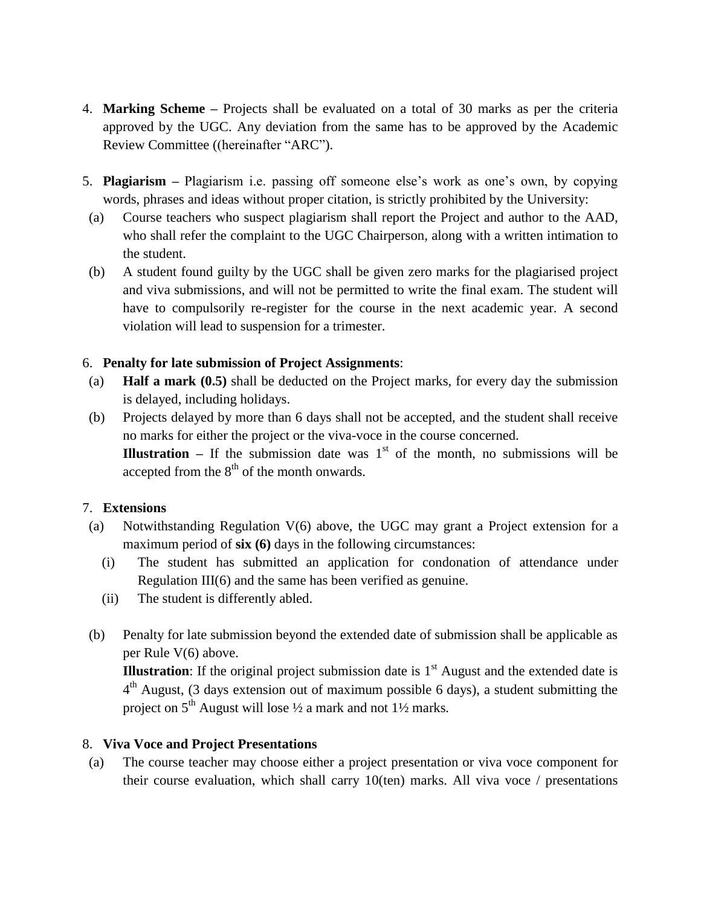- 4. **Marking Scheme –** Projects shall be evaluated on a total of 30 marks as per the criteria approved by the UGC. Any deviation from the same has to be approved by the Academic Review Committee ((hereinafter "ARC").
- 5. **Plagiarism –** Plagiarism i.e. passing off someone else's work as one's own, by copying words, phrases and ideas without proper citation, is strictly prohibited by the University:
- (a) Course teachers who suspect plagiarism shall report the Project and author to the AAD, who shall refer the complaint to the UGC Chairperson, along with a written intimation to the student.
- (b) A student found guilty by the UGC shall be given zero marks for the plagiarised project and viva submissions, and will not be permitted to write the final exam. The student will have to compulsorily re-register for the course in the next academic year. A second violation will lead to suspension for a trimester.

## 6. **Penalty for late submission of Project Assignments**:

- (a) **Half a mark (0.5)** shall be deducted on the Project marks, for every day the submission is delayed, including holidays.
- (b) Projects delayed by more than 6 days shall not be accepted, and the student shall receive no marks for either the project or the viva-voce in the course concerned. **Illustration** – If the submission date was  $1<sup>st</sup>$  of the month, no submissions will be accepted from the  $8<sup>th</sup>$  of the month onwards.

## 7. **Extensions**

- (a) Notwithstanding Regulation V(6) above, the UGC may grant a Project extension for a maximum period of **six (6)** days in the following circumstances:
	- (i) The student has submitted an application for condonation of attendance under Regulation III(6) and the same has been verified as genuine.
	- (ii) The student is differently abled.
- (b) Penalty for late submission beyond the extended date of submission shall be applicable as per Rule V(6) above.

**Illustration**: If the original project submission date is  $1<sup>st</sup>$  August and the extended date is  $4<sup>th</sup>$  August, (3 days extension out of maximum possible 6 days), a student submitting the project on 5th August will lose ½ a mark and not 1½ marks*.*

## 8. **Viva Voce and Project Presentations**

(a) The course teacher may choose either a project presentation or viva voce component for their course evaluation, which shall carry  $10$ (ten) marks. All viva voce / presentations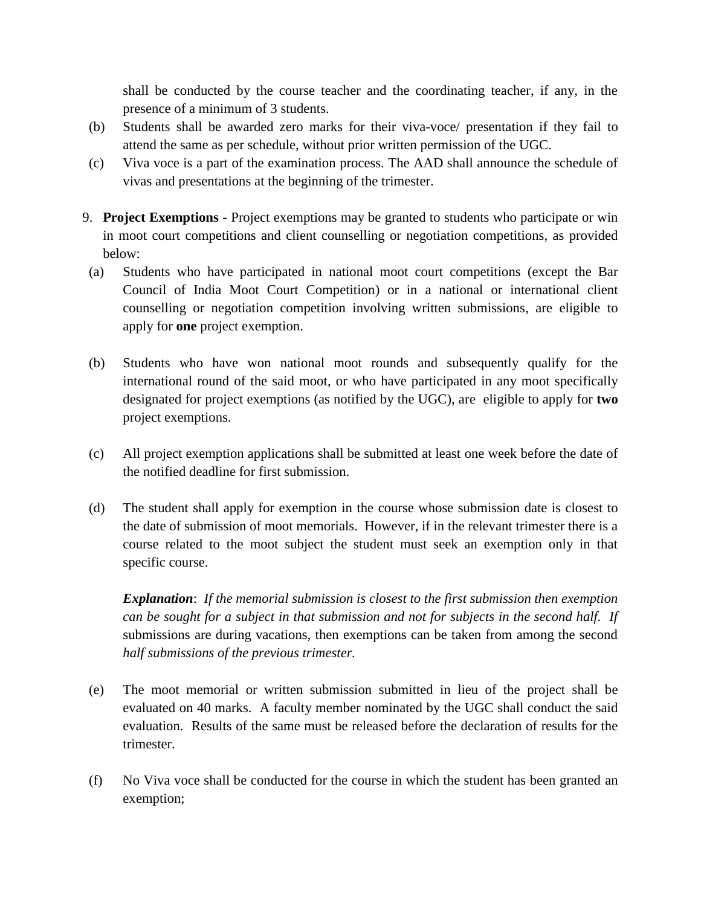shall be conducted by the course teacher and the coordinating teacher, if any, in the presence of a minimum of 3 students.

- (b) Students shall be awarded zero marks for their viva-voce/ presentation if they fail to attend the same as per schedule, without prior written permission of the UGC.
- (c) Viva voce is a part of the examination process. The AAD shall announce the schedule of vivas and presentations at the beginning of the trimester.
- 9. **Project Exemptions -** Project exemptions may be granted to students who participate or win in moot court competitions and client counselling or negotiation competitions, as provided below:
- (a) Students who have participated in national moot court competitions (except the Bar Council of India Moot Court Competition) or in a national or international client counselling or negotiation competition involving written submissions, are eligible to apply for **one** project exemption.
- (b) Students who have won national moot rounds and subsequently qualify for the international round of the said moot, or who have participated in any moot specifically designated for project exemptions (as notified by the UGC), are eligible to apply for **two**  project exemptions.
- (c) All project exemption applications shall be submitted at least one week before the date of the notified deadline for first submission.
- (d) The student shall apply for exemption in the course whose submission date is closest to the date of submission of moot memorials. However, if in the relevant trimester there is a course related to the moot subject the student must seek an exemption only in that specific course.

*Explanation*: *If the memorial submission is closest to the first submission then exemption can be sought for a subject in that submission and not for subjects in the second half. If*  submissions are during vacations, then exemptions can be taken from among the second *half submissions of the previous trimester.*

- (e) The moot memorial or written submission submitted in lieu of the project shall be evaluated on 40 marks. A faculty member nominated by the UGC shall conduct the said evaluation. Results of the same must be released before the declaration of results for the trimester.
- (f) No Viva voce shall be conducted for the course in which the student has been granted an exemption;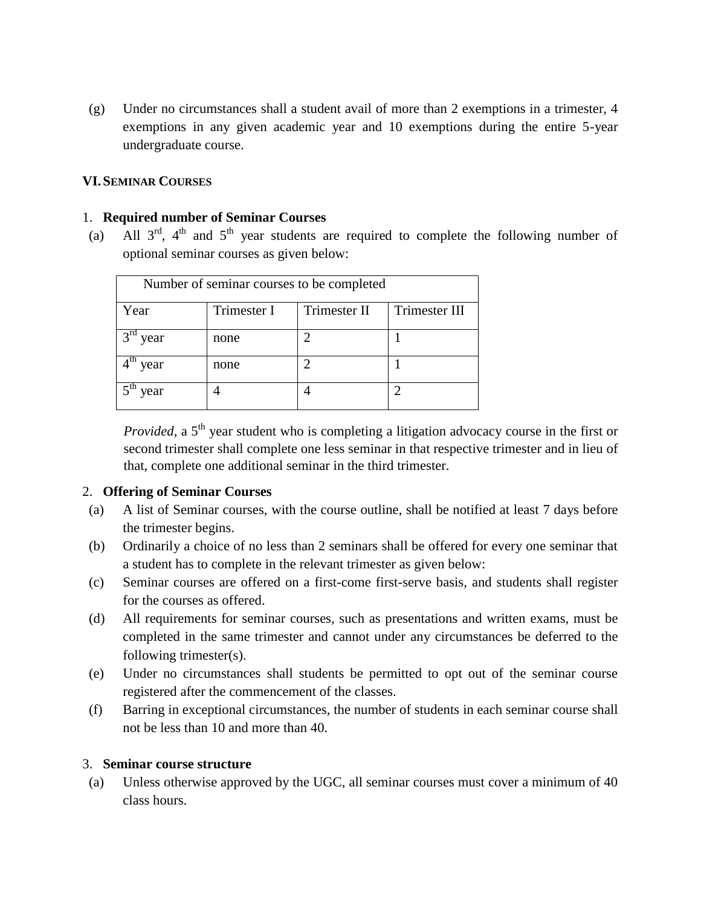(g) Under no circumstances shall a student avail of more than 2 exemptions in a trimester, 4 exemptions in any given academic year and 10 exemptions during the entire 5-year undergraduate course.

#### **VI.SEMINAR COURSES**

#### 1. **Required number of Seminar Courses**

(a) All  $3^{rd}$ ,  $4^{th}$  and  $5^{th}$  year students are required to complete the following number of optional seminar courses as given below:

| Number of seminar courses to be completed |             |              |               |  |  |  |
|-------------------------------------------|-------------|--------------|---------------|--|--|--|
| Year                                      | Trimester I | Trimester II | Trimester III |  |  |  |
| 3 <sup>rd</sup><br>year                   | none        |              |               |  |  |  |
| year                                      | none        |              |               |  |  |  |
| year                                      |             |              |               |  |  |  |

*Provided*, a 5<sup>th</sup> year student who is completing a litigation advocacy course in the first or second trimester shall complete one less seminar in that respective trimester and in lieu of that, complete one additional seminar in the third trimester.

#### 2. **Offering of Seminar Courses**

- (a) A list of Seminar courses, with the course outline, shall be notified at least 7 days before the trimester begins.
- (b) Ordinarily a choice of no less than 2 seminars shall be offered for every one seminar that a student has to complete in the relevant trimester as given below:
- (c) Seminar courses are offered on a first-come first-serve basis, and students shall register for the courses as offered.
- (d) All requirements for seminar courses, such as presentations and written exams, must be completed in the same trimester and cannot under any circumstances be deferred to the following trimester(s).
- (e) Under no circumstances shall students be permitted to opt out of the seminar course registered after the commencement of the classes.
- (f) Barring in exceptional circumstances, the number of students in each seminar course shall not be less than 10 and more than 40.

#### 3. **Seminar course structure**

(a) Unless otherwise approved by the UGC, all seminar courses must cover a minimum of 40 class hours.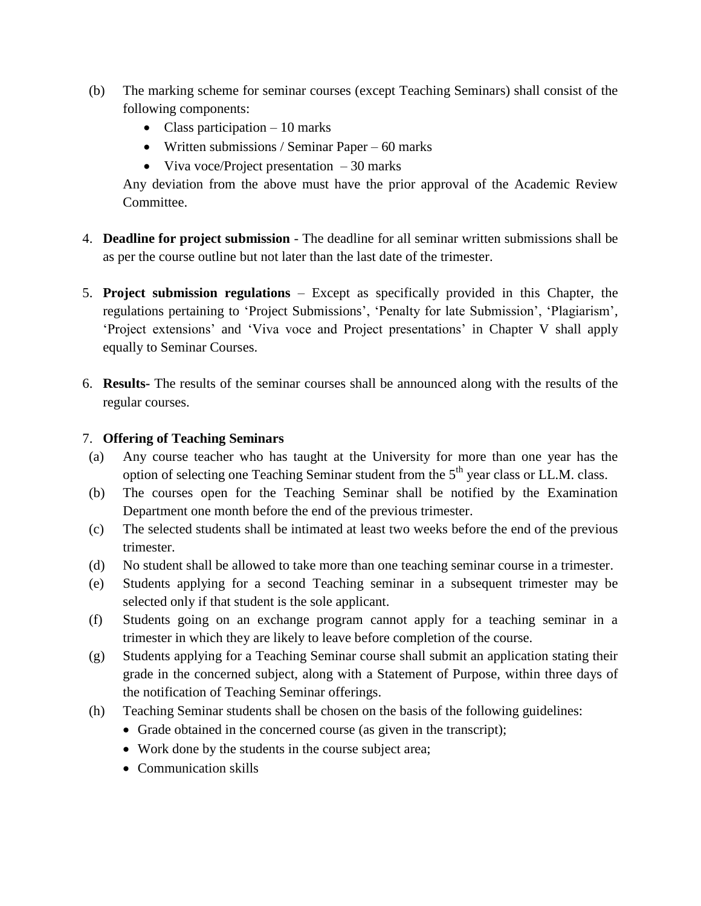- (b) The marking scheme for seminar courses (except Teaching Seminars) shall consist of the following components:
	- Class participation  $-10$  marks
	- Written submissions / Seminar Paper 60 marks
	- Viva voce/Project presentation  $-30$  marks

Any deviation from the above must have the prior approval of the Academic Review Committee.

- 4. **Deadline for project submission** The deadline for all seminar written submissions shall be as per the course outline but not later than the last date of the trimester.
- 5. **Project submission regulations** Except as specifically provided in this Chapter, the regulations pertaining to 'Project Submissions', 'Penalty for late Submission', 'Plagiarism', 'Project extensions' and 'Viva voce and Project presentations' in Chapter V shall apply equally to Seminar Courses.
- 6. **Results-** The results of the seminar courses shall be announced along with the results of the regular courses.

## 7. **Offering of Teaching Seminars**

- (a) Any course teacher who has taught at the University for more than one year has the option of selecting one Teaching Seminar student from the 5<sup>th</sup> year class or LL.M. class.
- (b) The courses open for the Teaching Seminar shall be notified by the Examination Department one month before the end of the previous trimester.
- (c) The selected students shall be intimated at least two weeks before the end of the previous trimester.
- (d) No student shall be allowed to take more than one teaching seminar course in a trimester.
- (e) Students applying for a second Teaching seminar in a subsequent trimester may be selected only if that student is the sole applicant.
- (f) Students going on an exchange program cannot apply for a teaching seminar in a trimester in which they are likely to leave before completion of the course.
- (g) Students applying for a Teaching Seminar course shall submit an application stating their grade in the concerned subject, along with a Statement of Purpose, within three days of the notification of Teaching Seminar offerings.
- (h) Teaching Seminar students shall be chosen on the basis of the following guidelines:
	- Grade obtained in the concerned course (as given in the transcript);
	- Work done by the students in the course subject area;
	- Communication skills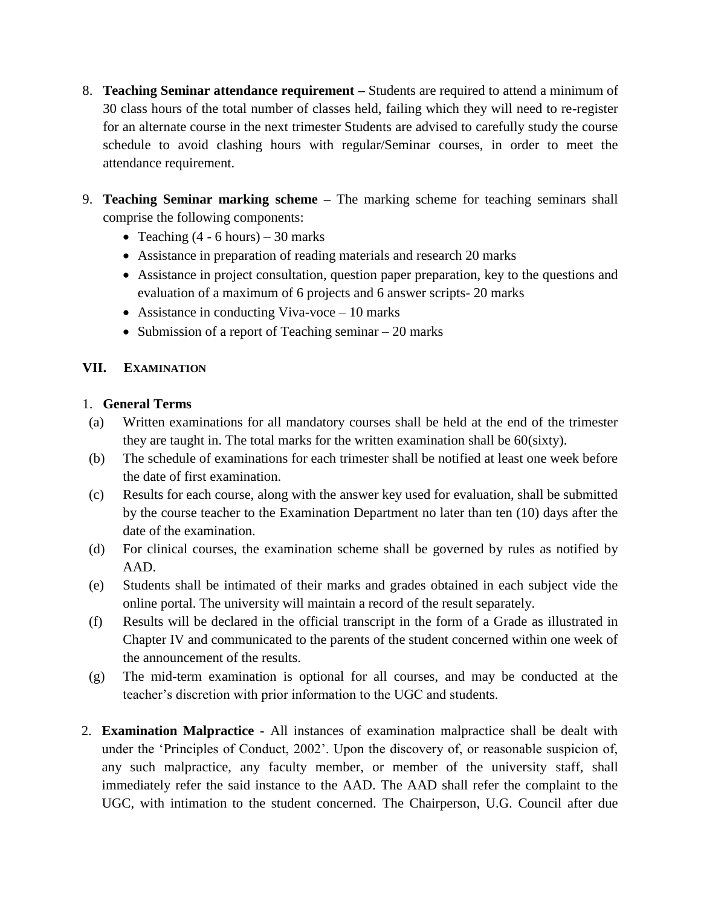- 8. **Teaching Seminar attendance requirement –** Students are required to attend a minimum of 30 class hours of the total number of classes held, failing which they will need to re-register for an alternate course in the next trimester Students are advised to carefully study the course schedule to avoid clashing hours with regular/Seminar courses, in order to meet the attendance requirement.
- 9. **Teaching Seminar marking scheme –** The marking scheme for teaching seminars shall comprise the following components:
	- Teaching  $(4 6$  hours) 30 marks
	- Assistance in preparation of reading materials and research 20 marks
	- Assistance in project consultation, question paper preparation, key to the questions and evaluation of a maximum of 6 projects and 6 answer scripts- 20 marks
	- Assistance in conducting Viva-voce 10 marks
	- Submission of a report of Teaching seminar  $-20$  marks

## **VII. EXAMINATION**

### 1. **General Terms**

- (a) Written examinations for all mandatory courses shall be held at the end of the trimester they are taught in. The total marks for the written examination shall be 60(sixty).
- (b) The schedule of examinations for each trimester shall be notified at least one week before the date of first examination.
- (c) Results for each course, along with the answer key used for evaluation, shall be submitted by the course teacher to the Examination Department no later than ten (10) days after the date of the examination.
- (d) For clinical courses, the examination scheme shall be governed by rules as notified by AAD.
- (e) Students shall be intimated of their marks and grades obtained in each subject vide the online portal. The university will maintain a record of the result separately.
- (f) Results will be declared in the official transcript in the form of a Grade as illustrated in Chapter IV and communicated to the parents of the student concerned within one week of the announcement of the results.
- (g) The mid-term examination is optional for all courses, and may be conducted at the teacher's discretion with prior information to the UGC and students.
- 2. **Examination Malpractice -** All instances of examination malpractice shall be dealt with under the 'Principles of Conduct, 2002'. Upon the discovery of, or reasonable suspicion of, any such malpractice, any faculty member, or member of the university staff, shall immediately refer the said instance to the AAD. The AAD shall refer the complaint to the UGC, with intimation to the student concerned. The Chairperson, U.G. Council after due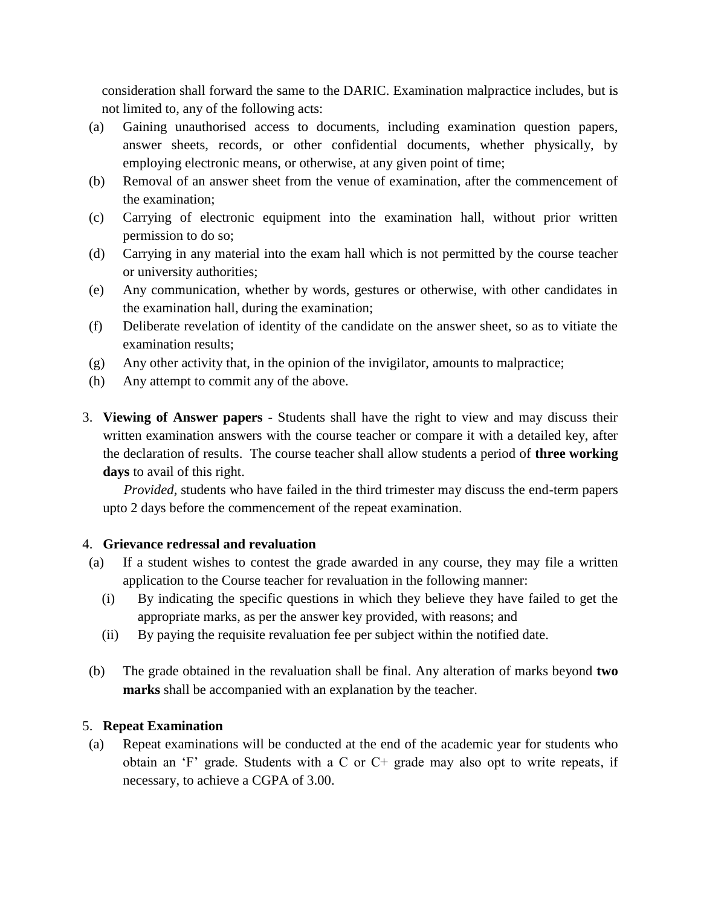consideration shall forward the same to the DARIC. Examination malpractice includes, but is not limited to, any of the following acts:

- (a) Gaining unauthorised access to documents, including examination question papers, answer sheets, records, or other confidential documents, whether physically, by employing electronic means, or otherwise, at any given point of time;
- (b) Removal of an answer sheet from the venue of examination, after the commencement of the examination;
- (c) Carrying of electronic equipment into the examination hall, without prior written permission to do so;
- (d) Carrying in any material into the exam hall which is not permitted by the course teacher or university authorities;
- (e) Any communication, whether by words, gestures or otherwise, with other candidates in the examination hall, during the examination;
- (f) Deliberate revelation of identity of the candidate on the answer sheet, so as to vitiate the examination results;
- (g) Any other activity that, in the opinion of the invigilator, amounts to malpractice;
- (h) Any attempt to commit any of the above.
- 3. **Viewing of Answer papers** Students shall have the right to view and may discuss their written examination answers with the course teacher or compare it with a detailed key, after the declaration of results. The course teacher shall allow students a period of **three working days** to avail of this right.

*Provided,* students who have failed in the third trimester may discuss the end-term papers upto 2 days before the commencement of the repeat examination.

## 4. **Grievance redressal and revaluation**

- (a) If a student wishes to contest the grade awarded in any course, they may file a written application to the Course teacher for revaluation in the following manner:
	- (i) By indicating the specific questions in which they believe they have failed to get the appropriate marks, as per the answer key provided, with reasons; and
	- (ii) By paying the requisite revaluation fee per subject within the notified date.
- (b) The grade obtained in the revaluation shall be final. Any alteration of marks beyond **two marks** shall be accompanied with an explanation by the teacher.

## 5. **Repeat Examination**

(a) Repeat examinations will be conducted at the end of the academic year for students who obtain an 'F' grade. Students with a C or C+ grade may also opt to write repeats, if necessary, to achieve a CGPA of 3.00.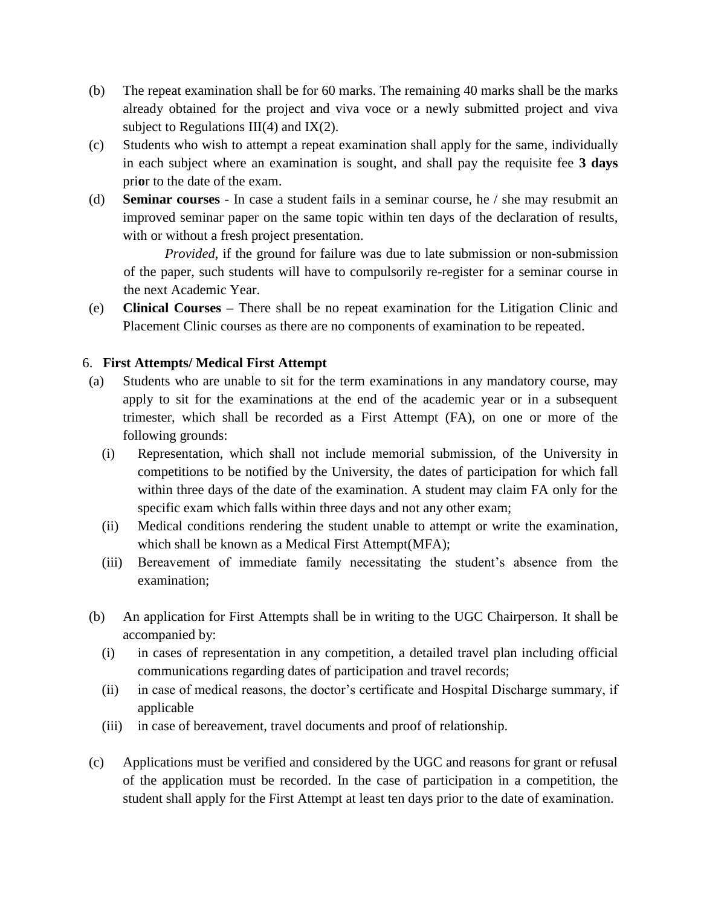- (b) The repeat examination shall be for 60 marks. The remaining 40 marks shall be the marks already obtained for the project and viva voce or a newly submitted project and viva subject to Regulations III(4) and IX(2).
- (c) Students who wish to attempt a repeat examination shall apply for the same, individually in each subject where an examination is sought, and shall pay the requisite fee **3 days**  pri**o**r to the date of the exam.
- (d) **Seminar courses** In case a student fails in a seminar course, he / she may resubmit an improved seminar paper on the same topic within ten days of the declaration of results, with or without a fresh project presentation.

*Provided*, if the ground for failure was due to late submission or non-submission of the paper, such students will have to compulsorily re-register for a seminar course in the next Academic Year.

(e) **Clinical Courses –** There shall be no repeat examination for the Litigation Clinic and Placement Clinic courses as there are no components of examination to be repeated.

## 6. **First Attempts/ Medical First Attempt**

- (a) Students who are unable to sit for the term examinations in any mandatory course, may apply to sit for the examinations at the end of the academic year or in a subsequent trimester, which shall be recorded as a First Attempt (FA), on one or more of the following grounds:
	- (i) Representation, which shall not include memorial submission, of the University in competitions to be notified by the University, the dates of participation for which fall within three days of the date of the examination. A student may claim FA only for the specific exam which falls within three days and not any other exam;
	- (ii) Medical conditions rendering the student unable to attempt or write the examination, which shall be known as a Medical First Attempt(MFA);
	- (iii) Bereavement of immediate family necessitating the student's absence from the examination;
- (b) An application for First Attempts shall be in writing to the UGC Chairperson. It shall be accompanied by:
	- (i) in cases of representation in any competition, a detailed travel plan including official communications regarding dates of participation and travel records;
	- (ii) in case of medical reasons, the doctor's certificate and Hospital Discharge summary, if applicable
	- (iii) in case of bereavement, travel documents and proof of relationship.
- (c) Applications must be verified and considered by the UGC and reasons for grant or refusal of the application must be recorded. In the case of participation in a competition, the student shall apply for the First Attempt at least ten days prior to the date of examination.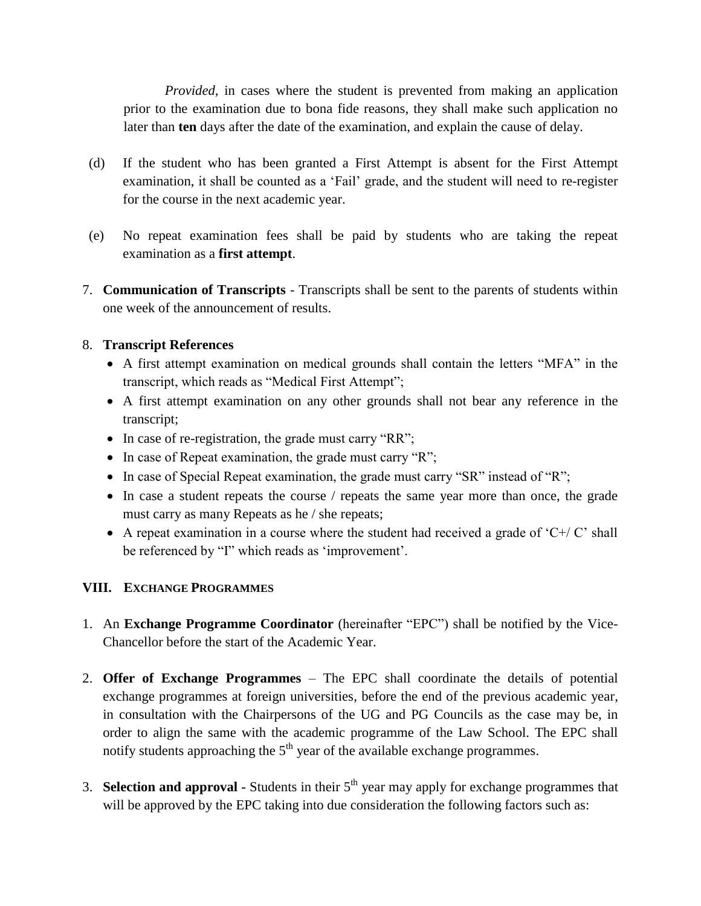*Provided,* in cases where the student is prevented from making an application prior to the examination due to bona fide reasons, they shall make such application no later than **ten** days after the date of the examination, and explain the cause of delay.

- (d) If the student who has been granted a First Attempt is absent for the First Attempt examination, it shall be counted as a 'Fail' grade, and the student will need to re-register for the course in the next academic year.
- (e) No repeat examination fees shall be paid by students who are taking the repeat examination as a **first attempt**.
- 7. **Communication of Transcripts** Transcripts shall be sent to the parents of students within one week of the announcement of results.

### 8. **Transcript References**

- A first attempt examination on medical grounds shall contain the letters "MFA" in the transcript, which reads as "Medical First Attempt";
- A first attempt examination on any other grounds shall not bear any reference in the transcript;
- In case of re-registration, the grade must carry "RR";
- $\bullet$  In case of Repeat examination, the grade must carry "R";
- In case of Special Repeat examination, the grade must carry "SR" instead of "R";
- In case a student repeats the course / repeats the same year more than once, the grade must carry as many Repeats as he / she repeats;
- A repeat examination in a course where the student had received a grade of  $C+/-C$  shall be referenced by "I" which reads as 'improvement'.

## **VIII. EXCHANGE PROGRAMMES**

- 1. An **Exchange Programme Coordinator** (hereinafter "EPC") shall be notified by the Vice-Chancellor before the start of the Academic Year.
- 2. **Offer of Exchange Programmes** The EPC shall coordinate the details of potential exchange programmes at foreign universities, before the end of the previous academic year, in consultation with the Chairpersons of the UG and PG Councils as the case may be, in order to align the same with the academic programme of the Law School. The EPC shall notify students approaching the  $5<sup>th</sup>$  year of the available exchange programmes.
- 3. **Selection and approval -** Students in their 5<sup>th</sup> year may apply for exchange programmes that will be approved by the EPC taking into due consideration the following factors such as: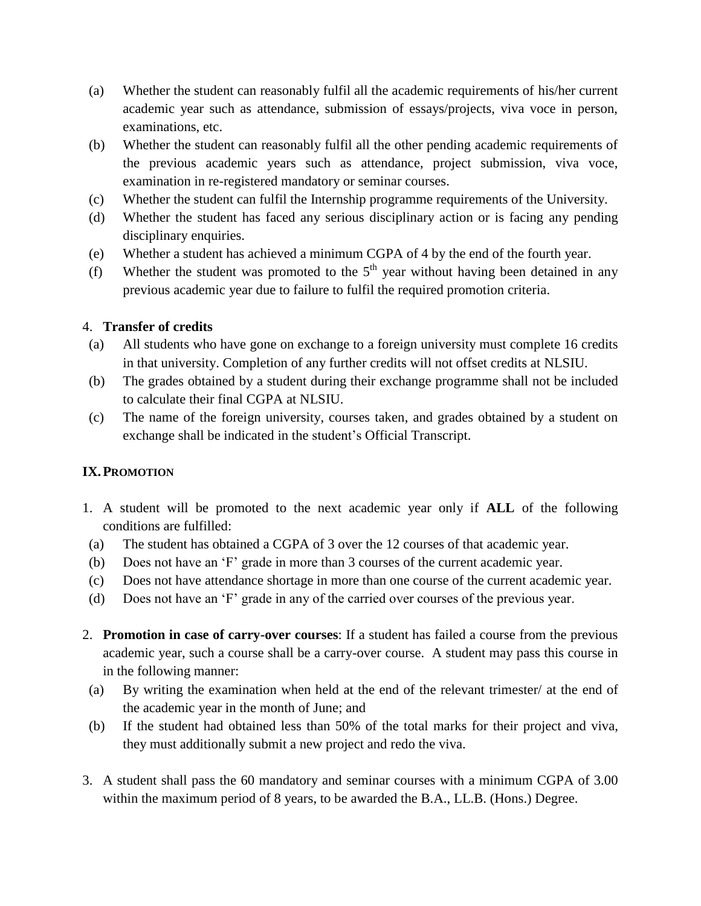- (a) Whether the student can reasonably fulfil all the academic requirements of his/her current academic year such as attendance, submission of essays/projects, viva voce in person, examinations, etc.
- (b) Whether the student can reasonably fulfil all the other pending academic requirements of the previous academic years such as attendance, project submission, viva voce, examination in re-registered mandatory or seminar courses.
- (c) Whether the student can fulfil the Internship programme requirements of the University.
- (d) Whether the student has faced any serious disciplinary action or is facing any pending disciplinary enquiries.
- (e) Whether a student has achieved a minimum CGPA of 4 by the end of the fourth year.
- (f) Whether the student was promoted to the  $5<sup>th</sup>$  year without having been detained in any previous academic year due to failure to fulfil the required promotion criteria.

#### 4. **Transfer of credits**

- (a) All students who have gone on exchange to a foreign university must complete 16 credits in that university. Completion of any further credits will not offset credits at NLSIU.
- (b) The grades obtained by a student during their exchange programme shall not be included to calculate their final CGPA at NLSIU.
- (c) The name of the foreign university, courses taken, and grades obtained by a student on exchange shall be indicated in the student's Official Transcript.

## **IX.PROMOTION**

- 1. A student will be promoted to the next academic year only if **ALL** of the following conditions are fulfilled:
- (a) The student has obtained a CGPA of 3 over the 12 courses of that academic year.
- (b) Does not have an 'F' grade in more than 3 courses of the current academic year.
- (c) Does not have attendance shortage in more than one course of the current academic year.
- (d) Does not have an 'F' grade in any of the carried over courses of the previous year.
- 2. **Promotion in case of carry-over courses**: If a student has failed a course from the previous academic year, such a course shall be a carry-over course. A student may pass this course in in the following manner:
- (a) By writing the examination when held at the end of the relevant trimester/ at the end of the academic year in the month of June; and
- (b) If the student had obtained less than 50% of the total marks for their project and viva, they must additionally submit a new project and redo the viva.
- 3. A student shall pass the 60 mandatory and seminar courses with a minimum CGPA of 3.00 within the maximum period of 8 years, to be awarded the B.A., LL.B. (Hons.) Degree.